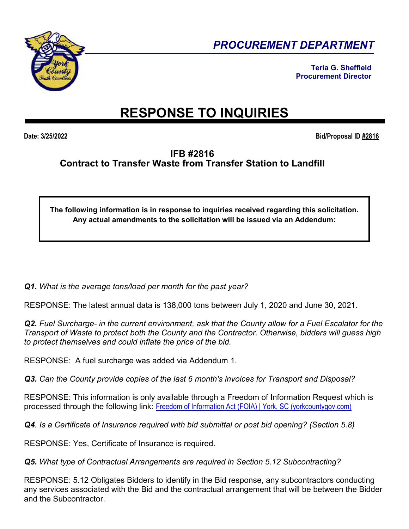

*PROCUREMENT DEPARTMENT* 

**Teria G. Sheffield Procurement Director** 

## **RESPONSE TO INQUIRIES**

**Date: 3/25/2022 Bid/Proposal ID #2816**

## **IFB #2816 Contract to Transfer Waste from Transfer Station to Landfill**

**The following information is in response to inquiries received regarding this solicitation. Any actual amendments to the solicitation will be issued via an Addendum:** 

*Q1. What is the average tons/load per month for the past year?* 

RESPONSE: The latest annual data is 138,000 tons between July 1, 2020 and June 30, 2021.

*Q2. Fuel Surcharge- in the current environment, ask that the County allow for a Fuel Escalator for the Transport of Waste to protect both the County and the Contractor. Otherwise, bidders will guess high to protect themselves and could inflate the price of the bid.* 

RESPONSE: A fuel surcharge was added via Addendum 1.

*Q3. Can the County provide copies of the last 6 month's invoices for Transport and Disposal?* 

RESPONSE: This information is only available through a Freedom of Information Request which is processed through the following link: [Freedom of Information Act \(FOIA\) | York, SC \(yorkcountygov.com\)](https://www.yorkcountygov.com/192/Freedom-of-Information-Act-FOIA)

*Q4. Is a Certificate of Insurance required with bid submittal or post bid opening? (Section 5.8)* 

RESPONSE: Yes, Certificate of Insurance is required.

*Q5. What type of Contractual Arrangements are required in Section 5.12 Subcontracting?* 

RESPONSE: 5.12 Obligates Bidders to identify in the Bid response, any subcontractors conducting any services associated with the Bid and the contractual arrangement that will be between the Bidder and the Subcontractor.